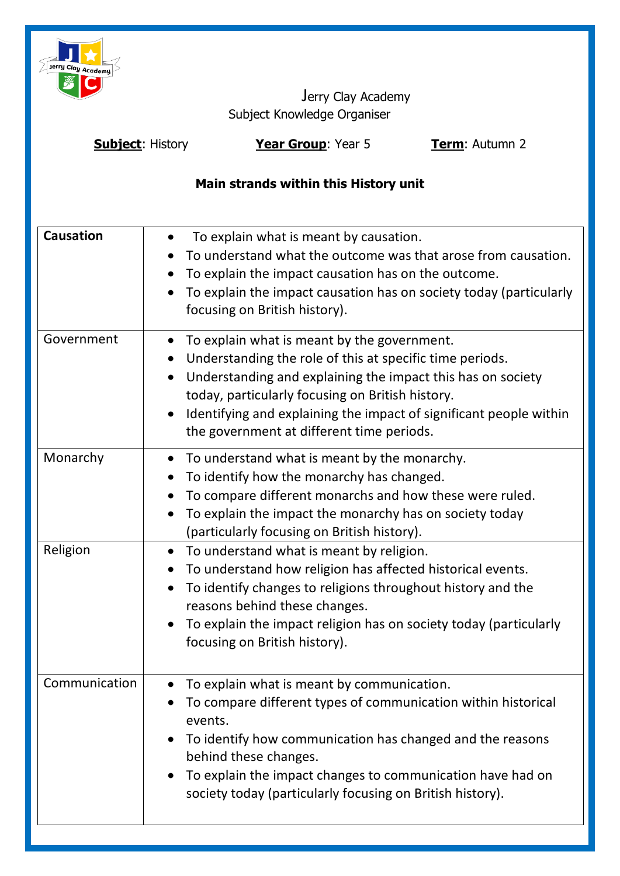

Jerry Clay Academy Subject Knowledge Organiser

**Subject**: History **Year Group**: Year 5 **Term**: Autumn 2

# **Main strands within this History unit**

| <b>Causation</b> | To explain what is meant by causation.<br>$\bullet$<br>To understand what the outcome was that arose from causation.<br>To explain the impact causation has on the outcome.<br>$\bullet$<br>To explain the impact causation has on society today (particularly<br>$\bullet$<br>focusing on British history).                                         |
|------------------|------------------------------------------------------------------------------------------------------------------------------------------------------------------------------------------------------------------------------------------------------------------------------------------------------------------------------------------------------|
| Government       | To explain what is meant by the government.<br>Understanding the role of this at specific time periods.<br>Understanding and explaining the impact this has on society<br>today, particularly focusing on British history.<br>Identifying and explaining the impact of significant people within<br>the government at different time periods.        |
| Monarchy         | To understand what is meant by the monarchy.<br>To identify how the monarchy has changed.<br>To compare different monarchs and how these were ruled.<br>To explain the impact the monarchy has on society today<br>(particularly focusing on British history).                                                                                       |
| Religion         | To understand what is meant by religion.<br>$\bullet$<br>To understand how religion has affected historical events.<br>To identify changes to religions throughout history and the<br>$\bullet$<br>reasons behind these changes.<br>To explain the impact religion has on society today (particularly<br>$\bullet$<br>focusing on British history).  |
| Communication    | To explain what is meant by communication.<br>$\bullet$<br>To compare different types of communication within historical<br>events.<br>To identify how communication has changed and the reasons<br>behind these changes.<br>To explain the impact changes to communication have had on<br>society today (particularly focusing on British history). |